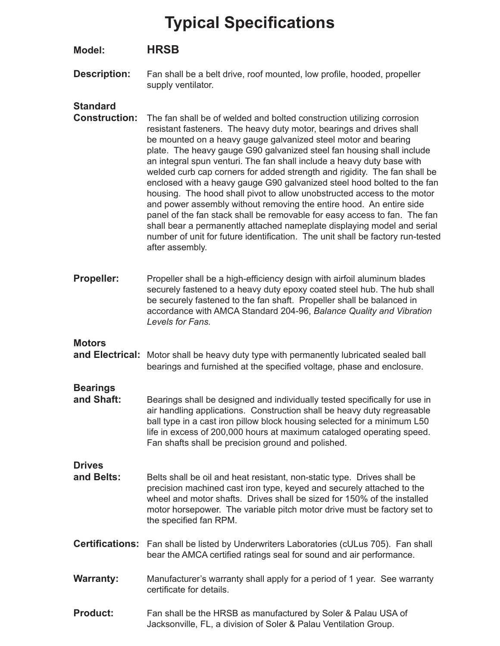### **Model: HRSB**

**Description:** Fan shall be a belt drive, roof mounted, low profile, hooded, propeller supply ventilator.

### **Standard**

- **Construction:** The fan shall be of welded and bolted construction utilizing corrosion resistant fasteners. The heavy duty motor, bearings and drives shall be mounted on a heavy gauge galvanized steel motor and bearing plate. The heavy gauge G90 galvanized steel fan housing shall include an integral spun venturi. The fan shall include a heavy duty base with welded curb cap corners for added strength and rigidity. The fan shall be enclosed with a heavy gauge G90 galvanized steel hood bolted to the fan housing. The hood shall pivot to allow unobstructed access to the motor and power assembly without removing the entire hood. An entire side panel of the fan stack shall be removable for easy access to fan. The fan shall bear a permanently attached nameplate displaying model and serial number of unit for future identification. The unit shall be factory run-tested after assembly.
- **Propeller:** Propeller shall be a high-efficiency design with airfoil aluminum blades securely fastened to a heavy duty epoxy coated steel hub. The hub shall be securely fastened to the fan shaft. Propeller shall be balanced in accordance with AMCA Standard 204-96, *Balance Quality and Vibration Levels for Fans.*

### **Motors**

**and Electrical:** Motor shall be heavy duty type with permanently lubricated sealed ball bearings and furnished at the specified voltage, phase and enclosure.

## **Bearings**

Bearings shall be designed and individually tested specifically for use in air handling applications. Construction shall be heavy duty regreasable ball type in a cast iron pillow block housing selected for a minimum L50 life in excess of 200,000 hours at maximum cataloged operating speed. Fan shafts shall be precision ground and polished.

### **Drives**

- **and Belts:** Belts shall be oil and heat resistant, non-static type. Drives shall be precision machined cast iron type, keyed and securely attached to the wheel and motor shafts. Drives shall be sized for 150% of the installed motor horsepower. The variable pitch motor drive must be factory set to the specified fan RPM.
- **Certifications:** Fan shall be listed by Underwriters Laboratories (cULus 705). Fan shall bear the AMCA certified ratings seal for sound and air performance.
- **Warranty:** Manufacturer's warranty shall apply for a period of 1 year. See warranty certificate for details.
- **Product:** Fan shall be the HRSB as manufactured by Soler & Palau USA of Jacksonville, FL, a division of Soler & Palau Ventilation Group.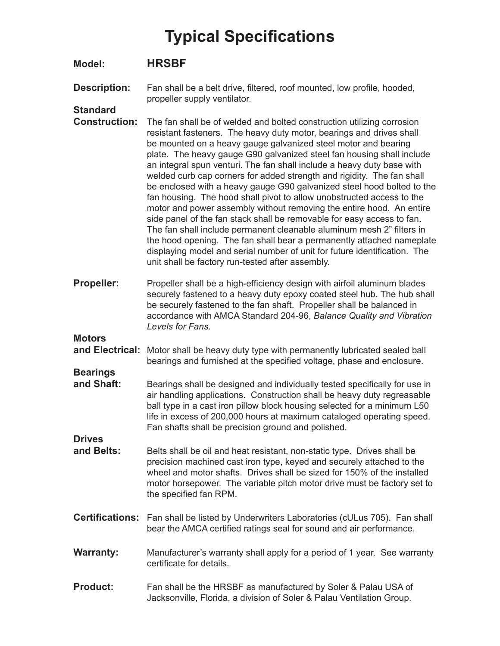### **Model: HRSBF**

**Description:** Fan shall be a belt drive, filtered, roof mounted, low profile, hooded, propeller supply ventilator.

### **Standard**

- **Construction:** The fan shall be of welded and bolted construction utilizing corrosion resistant fasteners. The heavy duty motor, bearings and drives shall be mounted on a heavy gauge galvanized steel motor and bearing plate. The heavy gauge G90 galvanized steel fan housing shall include an integral spun venturi. The fan shall include a heavy duty base with welded curb cap corners for added strength and rigidity. The fan shall be enclosed with a heavy gauge G90 galvanized steel hood bolted to the fan housing. The hood shall pivot to allow unobstructed access to the motor and power assembly without removing the entire hood. An entire side panel of the fan stack shall be removable for easy access to fan. The fan shall include permanent cleanable aluminum mesh 2" filters in the hood opening. The fan shall bear a permanently attached nameplate displaying model and serial number of unit for future identification. The unit shall be factory run-tested after assembly.
- **Propeller:** Propeller shall be a high-efficiency design with airfoil aluminum blades securely fastened to a heavy duty epoxy coated steel hub. The hub shall be securely fastened to the fan shaft. Propeller shall be balanced in accordance with AMCA Standard 204-96, *Balance Quality and Vibration Levels for Fans.*

**Motors** 

**Bearings** 

- **and Electrical:** Motor shall be heavy duty type with permanently lubricated sealed ball bearings and furnished at the specified voltage, phase and enclosure.
- **and Shaft:** Bearings shall be designed and individually tested specifically for use in air handling applications. Construction shall be heavy duty regreasable ball type in a cast iron pillow block housing selected for a minimum L50 life in excess of 200,000 hours at maximum cataloged operating speed. Fan shafts shall be precision ground and polished.

**Drives** 

- **and Belts:** Belts shall be oil and heat resistant, non-static type. Drives shall be precision machined cast iron type, keyed and securely attached to the wheel and motor shafts. Drives shall be sized for 150% of the installed motor horsepower. The variable pitch motor drive must be factory set to the specified fan RPM.
- **Certifications:** Fan shall be listed by Underwriters Laboratories (cULus 705). Fan shall bear the AMCA certified ratings seal for sound and air performance.
- **Warranty:** Manufacturer's warranty shall apply for a period of 1 year. See warranty certificate for details.
- **Product:** Fan shall be the HRSBF as manufactured by Soler & Palau USA of Jacksonville, Florida, a division of Soler & Palau Ventilation Group.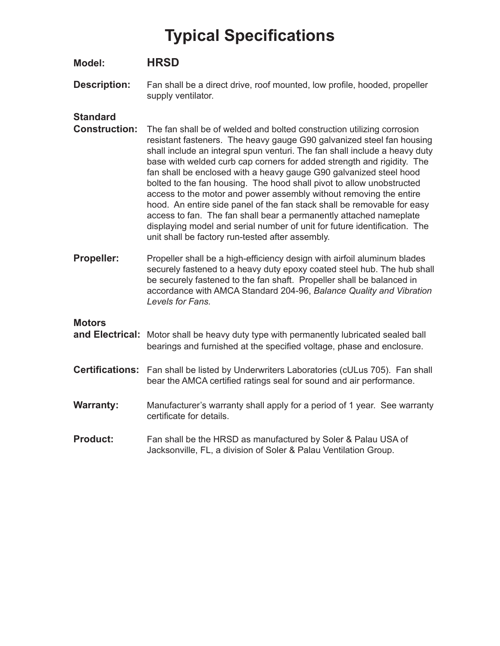### **Model: HRSD**

**Description:** Fan shall be a direct drive, roof mounted, low profile, hooded, propeller supply ventilator.

### **Standard**

- **Construction:** The fan shall be of welded and bolted construction utilizing corrosion resistant fasteners. The heavy gauge G90 galvanized steel fan housing shall include an integral spun venturi. The fan shall include a heavy duty base with welded curb cap corners for added strength and rigidity. The fan shall be enclosed with a heavy gauge G90 galvanized steel hood bolted to the fan housing. The hood shall pivot to allow unobstructed access to the motor and power assembly without removing the entire hood. An entire side panel of the fan stack shall be removable for easy access to fan. The fan shall bear a permanently attached nameplate displaying model and serial number of unit for future identification. The unit shall be factory run-tested after assembly.
- **Propeller:** Propeller shall be a high-efficiency design with airfoil aluminum blades securely fastened to a heavy duty epoxy coated steel hub. The hub shall be securely fastened to the fan shaft. Propeller shall be balanced in accordance with AMCA Standard 204-96, *Balance Quality and Vibration Levels for Fans.*

#### **Motors**

- **and Electrical:** Motor shall be heavy duty type with permanently lubricated sealed ball bearings and furnished at the specified voltage, phase and enclosure.
- **Certifications:** Fan shall be listed by Underwriters Laboratories (cULus 705). Fan shall bear the AMCA certified ratings seal for sound and air performance.
- **Warranty:** Manufacturer's warranty shall apply for a period of 1 year. See warranty certificate for details.
- **Product:** Fan shall be the HRSD as manufactured by Soler & Palau USA of Jacksonville, FL, a division of Soler & Palau Ventilation Group.